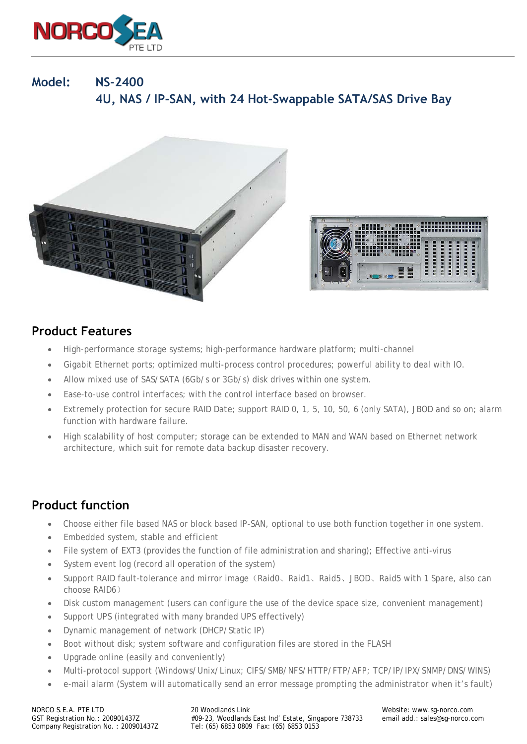

# **Model: NS-2400 4U, NAS / IP-SAN, with 24 Hot-Swappable SATA/SAS Drive Bay**





### **Product Features**

- High-performance storage systems; high-performance hardware platform; multi-channel
- Gigabit Ethernet ports; optimized multi-process control procedures; powerful ability to deal with IO.
- Allow mixed use of SAS/SATA (6Gb/s or 3Gb/s) disk drives within one system.
- Ease-to-use control interfaces; with the control interface based on browser.
- Extremely protection for secure RAID Date; support RAID 0, 1, 5, 10, 50, 6 (only SATA), JBOD and so on; alarm function with hardware failure.
- High scalability of host computer; storage can be extended to MAN and WAN based on Ethernet network architecture, which suit for remote data backup disaster recovery.

## **Product function**

- Choose either file based NAS or block based IP-SAN, optional to use both function together in one system.
- Embedded system, stable and efficient
- File system of EXT3 (provides the function of file administration and sharing); Effective anti-virus
- System event log (record all operation of the system)
- Support RAID fault-tolerance and mirror image (Raid0、Raid1、Raid5、JBOD、Raid5 with 1 Spare, also can choose RAID6)
- Disk custom management (users can configure the use of the device space size, convenient management)
- Support UPS (integrated with many branded UPS effectively)
- Dynamic management of network (DHCP/Static IP)
- Boot without disk; system software and configuration files are stored in the FLASH
- Upgrade online (easily and conveniently)
- Multi-protocol support (Windows/Unix/Linux; CIFS/SMB/NFS/HTTP/FTP/AFP; TCP/IP/IPX/SNMP/DNS/WINS)
- e-mail alarm (System will automatically send an error message prompting the administrator when it's fault)